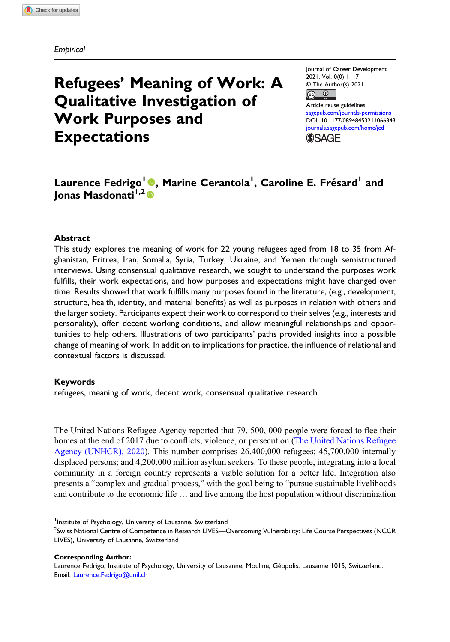# Refugees' Meaning of Work: A Qualitative Investigation of Work Purposes and Expectations

Journal of Career Development 2021, Vol. 0(0) 1–17 © The Author(s) 2021  $\odot$  $_{\rm (cc)}$ 

Article reuse guidelines: [sagepub.com/journals-permissions](https://us.sagepub.com/en-us/journals-permissions) DOI: [10.1177/08948453211066343](https://doi.org/10.1177/08948453211066343) [journals.sagepub.com/home/jcd](https://journals.sagepub.com/home/jcd) **SSAGE** 

# Laurence Fedrigo<sup>l</sup> ©, Marine Cerantola<sup>l</sup>, Caroline E. Frésard<sup>l</sup> and Ionas Masdonati<sup>1,2</sup>

### **Abstract**

This study explores the meaning of work for 22 young refugees aged from 18 to 35 from Afghanistan, Eritrea, Iran, Somalia, Syria, Turkey, Ukraine, and Yemen through semistructured interviews. Using consensual qualitative research, we sought to understand the purposes work fulfills, their work expectations, and how purposes and expectations might have changed over time. Results showed that work fulfills many purposes found in the literature, (e.g., development, structure, health, identity, and material benefits) as well as purposes in relation with others and the larger society. Participants expect their work to correspond to their selves (e.g., interests and personality), offer decent working conditions, and allow meaningful relationships and opportunities to help others. Illustrations of two participants' paths provided insights into a possible change of meaning of work. In addition to implications for practice, the influence of relational and contextual factors is discussed.

#### Keywords

refugees, meaning of work, decent work, consensual qualitative research

The United Nations Refugee Agency reported that 79, 500, 000 people were forced to flee their homes at the end of 2017 due to conflicts, violence, or persecution ([The United Nations Refugee](#page-15-0) [Agency \(UNHCR\), 2020](#page-15-0)). This number comprises 26,400,000 refugees; 45,700,000 internally displaced persons; and 4,200,000 million asylum seekers. To these people, integrating into a local community in a foreign country represents a viable solution for a better life. Integration also presents a "complex and gradual process," with the goal being to "pursue sustainable livelihoods and contribute to the economic life … and live among the host population without discrimination

Corresponding Author:

<sup>&</sup>lt;sup>1</sup> Institute of Psychology, University of Lausanne, Switzerland

<sup>&</sup>lt;sup>2</sup>Swiss National Centre of Competence in Research LIVES—Overcoming Vulnerability: Life Course Perspectives (NCCR LIVES), University of Lausanne, Switzerland

Laurence Fedrigo, Institute of Psychology, University of Lausanne, Mouline, Géopolis, Lausanne 1015, Switzerland. Email: [Laurence.Fedrigo@unil.ch](mailto:Laurence.Fedrigo@unil.ch)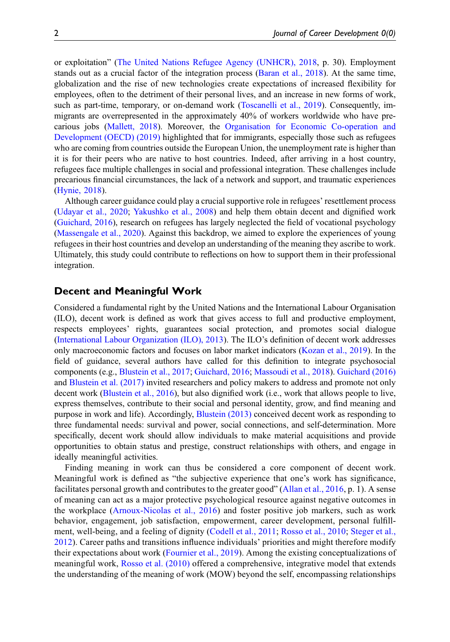or exploitation" [\(The United Nations Refugee Agency \(UNHCR\), 2018,](#page-15-1) p. 30). Employment stands out as a crucial factor of the integration process [\(Baran et al., 2018](#page-13-0)). At the same time, globalization and the rise of new technologies create expectations of increased flexibility for employees, often to the detriment of their personal lives, and an increase in new forms of work, such as part-time, temporary, or on-demand work ([Toscanelli et al., 2019](#page-15-2)). Consequently, immigrants are overrepresented in the approximately 40% of workers worldwide who have precarious jobs [\(Mallett, 2018](#page-14-0)). Moreover, the [Organisation for Economic Co-operation and](#page-15-3) [Development \(OECD\) \(2019\)](#page-15-3) highlighted that for immigrants, especially those such as refugees who are coming from countries outside the European Union, the unemployment rate is higher than it is for their peers who are native to host countries. Indeed, after arriving in a host country, refugees face multiple challenges in social and professional integration. These challenges include precarious financial circumstances, the lack of a network and support, and traumatic experiences ([Hynie, 2018\)](#page-14-1).

Although career guidance could play a crucial supportive role in refugees' resettlement process ([Udayar et al., 2020](#page-15-4); [Yakushko et al., 2008](#page-15-5)) and help them obtain decent and dignified work ([Guichard, 2016](#page-14-2)), research on refugees has largely neglected the field of vocational psychology ([Massengale et al., 2020](#page-14-3)). Against this backdrop, we aimed to explore the experiences of young refugees in their host countries and develop an understanding of the meaning they ascribe to work. Ultimately, this study could contribute to reflections on how to support them in their professional integration.

# Decent and Meaningful Work

Considered a fundamental right by the United Nations and the International Labour Organisation (ILO), decent work is defined as work that gives access to full and productive employment, respects employees' rights, guarantees social protection, and promotes social dialogue ([International Labour Organization \(ILO\), 2013](#page-14-4)). The ILO's definition of decent work addresses only macroeconomic factors and focuses on labor market indicators ([Kozan et al., 2019\)](#page-14-5). In the field of guidance, several authors have called for this definition to integrate psychosocial components (e.g., [Blustein et al., 2017;](#page-13-1) [Guichard, 2016;](#page-14-2) [Massoudi et al., 2018\)](#page-14-6). [Guichard \(2016\)](#page-14-2) and [Blustein et al. \(2017\)](#page-13-1) invited researchers and policy makers to address and promote not only decent work [\(Blustein et al., 2016](#page-13-2)), but also dignified work (i.e., work that allows people to live, express themselves, contribute to their social and personal identity, grow, and find meaning and purpose in work and life). Accordingly, [Blustein \(2013\)](#page-13-3) conceived decent work as responding to three fundamental needs: survival and power, social connections, and self-determination. More specifically, decent work should allow individuals to make material acquisitions and provide opportunities to obtain status and prestige, construct relationships with others, and engage in ideally meaningful activities.

Finding meaning in work can thus be considered a core component of decent work. Meaningful work is defined as "the subjective experience that one's work has significance, facilitates personal growth and contributes to the greater good" ([Allan et al., 2016](#page-13-4), p. 1). A sense of meaning can act as a major protective psychological resource against negative outcomes in the workplace [\(Arnoux-Nicolas et al., 2016](#page-13-5)) and foster positive job markers, such as work behavior, engagement, job satisfaction, empowerment, career development, personal fulfillment, well-being, and a feeling of dignity ([Codell et al., 2011](#page-14-7); [Rosso et al., 2010](#page-15-6); [Steger et al.,](#page-15-7) [2012](#page-15-7)). Career paths and transitions influence individuals' priorities and might therefore modify their expectations about work ([Fournier et al., 2019](#page-14-8)). Among the existing conceptualizations of meaningful work, [Rosso et al. \(2010\)](#page-15-6) offered a comprehensive, integrative model that extends the understanding of the meaning of work (MOW) beyond the self, encompassing relationships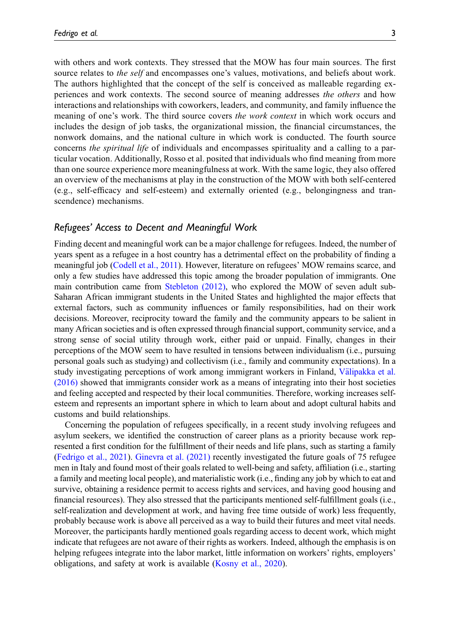scendence) mechanisms.

with others and work contexts. They stressed that the MOW has four main sources. The first source relates to the self and encompasses one's values, motivations, and beliefs about work. The authors highlighted that the concept of the self is conceived as malleable regarding experiences and work contexts. The second source of meaning addresses the others and how interactions and relationships with coworkers, leaders, and community, and family influence the meaning of one's work. The third source covers the work context in which work occurs and includes the design of job tasks, the organizational mission, the financial circumstances, the nonwork domains, and the national culture in which work is conducted. The fourth source concerns *the spiritual life* of individuals and encompasses spirituality and a calling to a particular vocation. Additionally, Rosso et al. posited that individuals who find meaning from more than one source experience more meaningfulness at work. With the same logic, they also offered an overview of the mechanisms at play in the construction of the MOW with both self-centered (e.g., self-efficacy and self-esteem) and externally oriented (e.g., belongingness and tran-

### Refugees' Access to Decent and Meaningful Work

Finding decent and meaningful work can be a major challenge for refugees. Indeed, the number of years spent as a refugee in a host country has a detrimental effect on the probability of finding a meaningful job ([Codell et al., 2011](#page-14-7)). However, literature on refugees' MOW remains scarce, and only a few studies have addressed this topic among the broader population of immigrants. One main contribution came from [Stebleton \(2012\),](#page-15-8) who explored the MOW of seven adult sub-Saharan African immigrant students in the United States and highlighted the major effects that external factors, such as community influences or family responsibilities, had on their work decisions. Moreover, reciprocity toward the family and the community appears to be salient in many African societies and is often expressed through financial support, community service, and a strong sense of social utility through work, either paid or unpaid. Finally, changes in their perceptions of the MOW seem to have resulted in tensions between individualism (i.e., pursuing personal goals such as studying) and collectivism (i.e., family and community expectations). In a study investigating perceptions of work among immigrant workers in Finland, Välipakka et al. [\(2016\)](#page-15-9) showed that immigrants consider work as a means of integrating into their host societies and feeling accepted and respected by their local communities. Therefore, working increases selfesteem and represents an important sphere in which to learn about and adopt cultural habits and customs and build relationships.

Concerning the population of refugees specifically, in a recent study involving refugees and asylum seekers, we identified the construction of career plans as a priority because work represented a first condition for the fulfillment of their needs and life plans, such as starting a family ([Fedrigo et al., 2021\)](#page-14-9). [Ginevra et al. \(2021\)](#page-14-10) recently investigated the future goals of 75 refugee men in Italy and found most of their goals related to well-being and safety, affiliation (i.e., starting a family and meeting local people), and materialistic work (i.e., finding any job by which to eat and survive, obtaining a residence permit to access rights and services, and having good housing and financial resources). They also stressed that the participants mentioned self-fulfillment goals (i.e., self-realization and development at work, and having free time outside of work) less frequently, probably because work is above all perceived as a way to build their futures and meet vital needs. Moreover, the participants hardly mentioned goals regarding access to decent work, which might indicate that refugees are not aware of their rights as workers. Indeed, although the emphasis is on helping refugees integrate into the labor market, little information on workers' rights, employers' obligations, and safety at work is available [\(Kosny et al., 2020](#page-14-11)).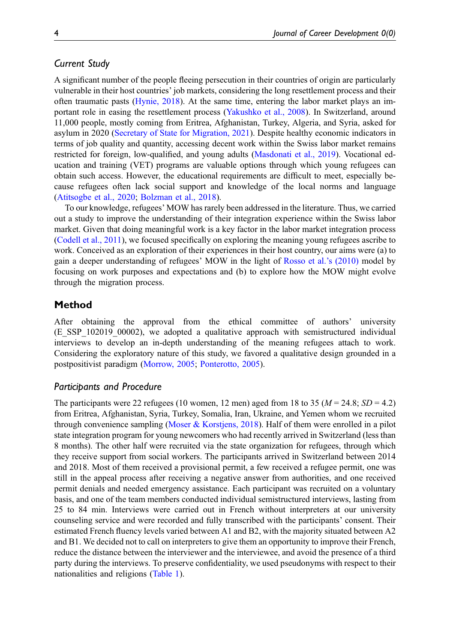# Current Study

A significant number of the people fleeing persecution in their countries of origin are particularly vulnerable in their host countries' job markets, considering the long resettlement process and their often traumatic pasts [\(Hynie, 2018\)](#page-14-1). At the same time, entering the labor market plays an important role in easing the resettlement process [\(Yakushko et al., 2008](#page-15-5)). In Switzerland, around 11,000 people, mostly coming from Eritrea, Afghanistan, Turkey, Algeria, and Syria, asked for asylum in 2020 [\(Secretary of State for Migration, 2021\)](#page-15-10). Despite healthy economic indicators in terms of job quality and quantity, accessing decent work within the Swiss labor market remains restricted for foreign, low-qualified, and young adults ([Masdonati et al., 2019](#page-14-12)). Vocational education and training (VET) programs are valuable options through which young refugees can obtain such access. However, the educational requirements are difficult to meet, especially because refugees often lack social support and knowledge of the local norms and language ([Atitsogbe et al., 2020](#page-13-6); [Bolzman et al., 2018](#page-13-7)).

To our knowledge, refugees' MOW has rarely been addressed in the literature. Thus, we carried out a study to improve the understanding of their integration experience within the Swiss labor market. Given that doing meaningful work is a key factor in the labor market integration process ([Codell et al., 2011](#page-14-7)), we focused specifically on exploring the meaning young refugees ascribe to work. Conceived as an exploration of their experiences in their host country, our aims were (a) to gain a deeper understanding of refugees' MOW in the light of [Rosso et al.](#page-15-6)'s (2010) model by focusing on work purposes and expectations and (b) to explore how the MOW might evolve through the migration process.

## Method

After obtaining the approval from the ethical committee of authors' university (E\_SSP\_102019\_00002), we adopted a qualitative approach with semistructured individual interviews to develop an in-depth understanding of the meaning refugees attach to work. Considering the exploratory nature of this study, we favored a qualitative design grounded in a postpositivist paradigm ([Morrow, 2005](#page-15-11); [Ponterotto, 2005](#page-15-12)).

### Participants and Procedure

The participants were 22 refugees (10 women, 12 men) aged from 18 to 35 ( $M = 24.8$ ;  $SD = 4.2$ ) from Eritrea, Afghanistan, Syria, Turkey, Somalia, Iran, Ukraine, and Yemen whom we recruited through convenience sampling [\(Moser & Korstjens, 2018\)](#page-15-13). Half of them were enrolled in a pilot state integration program for young newcomers who had recently arrived in Switzerland (less than 8 months). The other half were recruited via the state organization for refugees, through which they receive support from social workers. The participants arrived in Switzerland between 2014 and 2018. Most of them received a provisional permit, a few received a refugee permit, one was still in the appeal process after receiving a negative answer from authorities, and one received permit denials and needed emergency assistance. Each participant was recruited on a voluntary basis, and one of the team members conducted individual semistructured interviews, lasting from 25 to 84 min. Interviews were carried out in French without interpreters at our university counseling service and were recorded and fully transcribed with the participants' consent. Their estimated French fluency levels varied between A1 and B2, with the majority situated between A2 and B1. We decided not to call on interpreters to give them an opportunity to improve their French, reduce the distance between the interviewer and the interviewee, and avoid the presence of a third party during the interviews. To preserve confidentiality, we used pseudonyms with respect to their nationalities and religions ([Table 1](#page-4-0)).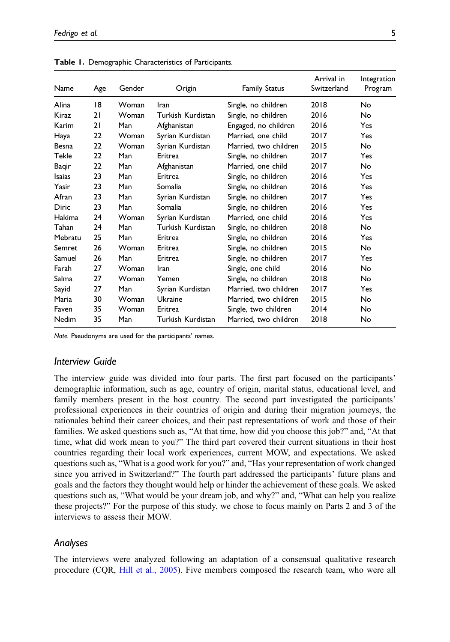| Name         | Age | Gender | Origin            | <b>Family Status</b>  | Arrival in<br>Switzerland | Integration<br>Program |
|--------------|-----|--------|-------------------|-----------------------|---------------------------|------------------------|
| Alina        | 18  | Woman  | Iran              | Single, no children   | 2018                      | No                     |
| Kiraz        | 21  | Woman  | Turkish Kurdistan | Single, no children   | 2016                      | No.                    |
| Karim        | 21  | Man    | Afghanistan       | Engaged, no children  | 2016                      | Yes                    |
| Haya         | 22  | Woman  | Syrian Kurdistan  | Married, one child    | 2017                      | Yes                    |
| Besna        | 22  | Woman  | Syrian Kurdistan  | Married, two children | 2015                      | No.                    |
| Tekle        | 22  | Man    | Eritrea           | Single, no children   | 2017                      | Yes                    |
| Bagir        | 22  | Man    | Afghanistan       | Married, one child    | 2017                      | No.                    |
| Isaias       | 23  | Man    | Eritrea           | Single, no children   | 2016                      | Yes                    |
| Yasir        | 23  | Man    | Somalia           | Single, no children   | 2016                      | Yes                    |
| Afran        | 23  | Man    | Syrian Kurdistan  | Single, no children   | 2017                      | Yes                    |
| <b>Diric</b> | 23  | Man    | Somalia           | Single, no children   | 2016                      | Yes                    |
| Hakima       | 24  | Woman  | Syrian Kurdistan  | Married, one child    | 2016                      | Yes                    |
| Tahan        | 24  | Man    | Turkish Kurdistan | Single, no children   | 2018                      | No.                    |
| Mebratu      | 25  | Man    | Eritrea           | Single, no children   | 2016                      | Yes                    |
| Semret       | 26  | Woman  | Eritrea           | Single, no children   | 2015                      | No.                    |
| Samuel       | 26  | Man    | Eritrea           | Single, no children   | 2017                      | Yes                    |
| Farah        | 27  | Woman  | Iran              | Single, one child     | 2016                      | No.                    |
| Salma        | 27  | Woman  | Yemen             | Single, no children   | 2018                      | No                     |
| Sayid        | 27  | Man    | Syrian Kurdistan  | Married, two children | 2017                      | Yes                    |
| Maria        | 30  | Woman  | Ukraine           | Married, two children | 2015                      | No                     |
| Faven        | 35  | Woman  | Eritrea           | Single, two children  | 2014                      | No                     |
| Nedim        | 35  | Man    | Turkish Kurdistan | Married, two children | 2018                      | No                     |

Table 1. Demographic Characteristics of Participants.

<span id="page-4-0"></span>Note. Pseudonyms are used for the participants' names.

#### Interview Guide

The interview guide was divided into four parts. The first part focused on the participants' demographic information, such as age, country of origin, marital status, educational level, and family members present in the host country. The second part investigated the participants' professional experiences in their countries of origin and during their migration journeys, the rationales behind their career choices, and their past representations of work and those of their families. We asked questions such as, "At that time, how did you choose this job?" and, "At that time, what did work mean to you?" The third part covered their current situations in their host countries regarding their local work experiences, current MOW, and expectations. We asked questions such as, "What is a good work for you?" and, "Has your representation of work changed since you arrived in Switzerland?" The fourth part addressed the participants' future plans and goals and the factors they thought would help or hinder the achievement of these goals. We asked questions such as, "What would be your dream job, and why?" and, "What can help you realize these projects?" For the purpose of this study, we chose to focus mainly on Parts 2 and 3 of the interviews to assess their MOW.

### Analyses

The interviews were analyzed following an adaptation of a consensual qualitative research procedure (CQR, [Hill et al., 2005\)](#page-14-13). Five members composed the research team, who were all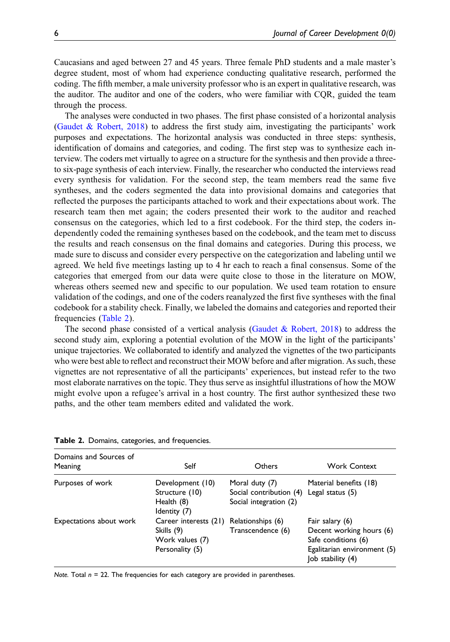Caucasians and aged between 27 and 45 years. Three female PhD students and a male master's degree student, most of whom had experience conducting qualitative research, performed the coding. The fifth member, a male university professor who is an expert in qualitative research, was the auditor. The auditor and one of the coders, who were familiar with CQR, guided the team through the process.

The analyses were conducted in two phases. The first phase consisted of a horizontal analysis ([Gaudet & Robert, 2018](#page-14-14)) to address the first study aim, investigating the participants' work purposes and expectations. The horizontal analysis was conducted in three steps: synthesis, identification of domains and categories, and coding. The first step was to synthesize each interview. The coders met virtually to agree on a structure for the synthesis and then provide a threeto six-page synthesis of each interview. Finally, the researcher who conducted the interviews read every synthesis for validation. For the second step, the team members read the same five syntheses, and the coders segmented the data into provisional domains and categories that reflected the purposes the participants attached to work and their expectations about work. The research team then met again; the coders presented their work to the auditor and reached consensus on the categories, which led to a first codebook. For the third step, the coders independently coded the remaining syntheses based on the codebook, and the team met to discuss the results and reach consensus on the final domains and categories. During this process, we made sure to discuss and consider every perspective on the categorization and labeling until we agreed. We held five meetings lasting up to 4 hr each to reach a final consensus. Some of the categories that emerged from our data were quite close to those in the literature on MOW, whereas others seemed new and specific to our population. We used team rotation to ensure validation of the codings, and one of the coders reanalyzed the first five syntheses with the final codebook for a stability check. Finally, we labeled the domains and categories and reported their frequencies ([Table 2\)](#page-5-0).

The second phase consisted of a vertical analysis [\(Gaudet & Robert, 2018](#page-14-14)) to address the second study aim, exploring a potential evolution of the MOW in the light of the participants' unique trajectories. We collaborated to identify and analyzed the vignettes of the two participants who were best able to reflect and reconstruct their MOW before and after migration. As such, these vignettes are not representative of all the participants' experiences, but instead refer to the two most elaborate narratives on the topic. They thus serve as insightful illustrations of how the MOW might evolve upon a refugee's arrival in a host country. The first author synthesized these two paths, and the other team members edited and validated the work.

| Domains and Sources of<br>Meaning | Self                                                                      | Others                                                                               | <b>Work Context</b>                                                                                                     |
|-----------------------------------|---------------------------------------------------------------------------|--------------------------------------------------------------------------------------|-------------------------------------------------------------------------------------------------------------------------|
| Purposes of work                  | Development (10)<br>Structure (10)<br>Health (8)<br>Identity (7)          | Moral duty (7)<br>Social contribution (4) Legal status (5)<br>Social integration (2) | Material benefits (18)                                                                                                  |
| Expectations about work           | Career interests (21)<br>Skills (9)<br>Work values (7)<br>Personality (5) | Relationships (6)<br>Transcendence (6)                                               | Fair salary (6)<br>Decent working hours (6)<br>Safe conditions (6)<br>Egalitarian environment (5)<br>(4)   ob stability |

Table 2. Domains, categories, and frequencies.

<span id="page-5-0"></span>Note. Total  $n = 22$ . The frequencies for each category are provided in parentheses.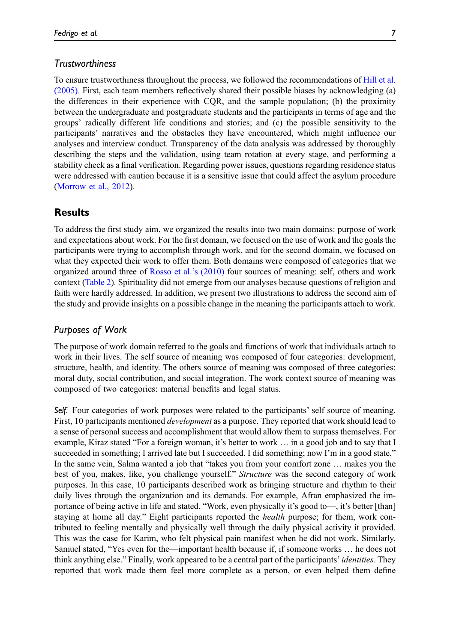# **Trustworthiness**

To ensure trustworthiness throughout the process, we followed the recommendations of [Hill et al.](#page-14-13) [\(2005\)](#page-14-13). First, each team members reflectively shared their possible biases by acknowledging (a) the differences in their experience with CQR, and the sample population; (b) the proximity between the undergraduate and postgraduate students and the participants in terms of age and the groups' radically different life conditions and stories; and (c) the possible sensitivity to the participants' narratives and the obstacles they have encountered, which might influence our analyses and interview conduct. Transparency of the data analysis was addressed by thoroughly describing the steps and the validation, using team rotation at every stage, and performing a stability check as a final verification. Regarding power issues, questions regarding residence status were addressed with caution because it is a sensitive issue that could affect the asylum procedure ([Morrow et al., 2012](#page-15-14)).

# **Results**

To address the first study aim, we organized the results into two main domains: purpose of work and expectations about work. For the first domain, we focused on the use of work and the goals the participants were trying to accomplish through work, and for the second domain, we focused on what they expected their work to offer them. Both domains were composed of categories that we organized around three of [Rosso et al.](#page-15-6)'s (2010) four sources of meaning: self, others and work context [\(Table 2](#page-5-0)). Spirituality did not emerge from our analyses because questions of religion and faith were hardly addressed. In addition, we present two illustrations to address the second aim of the study and provide insights on a possible change in the meaning the participants attach to work.

### Purposes of Work

The purpose of work domain referred to the goals and functions of work that individuals attach to work in their lives. The self source of meaning was composed of four categories: development, structure, health, and identity. The others source of meaning was composed of three categories: moral duty, social contribution, and social integration. The work context source of meaning was composed of two categories: material benefits and legal status.

Self. Four categories of work purposes were related to the participants' self source of meaning. First, 10 participants mentioned *development* as a purpose. They reported that work should lead to a sense of personal success and accomplishment that would allow them to surpass themselves. For example, Kiraz stated "For a foreign woman, it's better to work … in a good job and to say that I succeeded in something; I arrived late but I succeeded. I did something; now I'm in a good state." In the same vein, Salma wanted a job that "takes you from your comfort zone … makes you the best of you, makes, like, you challenge yourself." Structure was the second category of work purposes. In this case, 10 participants described work as bringing structure and rhythm to their daily lives through the organization and its demands. For example, Afran emphasized the importance of being active in life and stated, "Work, even physically it's good to—, it's better [than] staying at home all day." Eight participants reported the *health* purpose; for them, work contributed to feeling mentally and physically well through the daily physical activity it provided. This was the case for Karim, who felt physical pain manifest when he did not work. Similarly, Samuel stated, "Yes even for the—important health because if, if someone works … he does not think anything else." Finally, work appeared to be a central part of the participants' identities. They reported that work made them feel more complete as a person, or even helped them define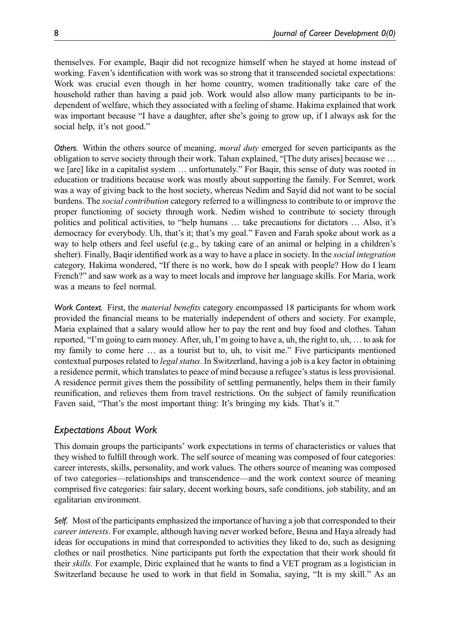themselves. For example, Baqir did not recognize himself when he stayed at home instead of working. Faven's identification with work was so strong that it transcended societal expectations: Work was crucial even though in her home country, women traditionally take care of the household rather than having a paid job. Work would also allow many participants to be independent of welfare, which they associated with a feeling of shame. Hakima explained that work was important because "I have a daughter, after she's going to grow up, if I always ask for the social help, it's not good."

Others. Within the others source of meaning, *moral duty* emerged for seven participants as the obligation to serve society through their work. Tahan explained, "[The duty arises] because we … we [are] like in a capitalist system … unfortunately." For Baqir, this sense of duty was rooted in education or traditions because work was mostly about supporting the family. For Semret, work was a way of giving back to the host society, whereas Nedim and Sayid did not want to be social burdens. The *social contribution* category referred to a willingness to contribute to or improve the proper functioning of society through work. Nedim wished to contribute to society through politics and political activities, to "help humans … take precautions for dictators … Also, it's democracy for everybody. Uh, that's it; that's my goal." Faven and Farah spoke about work as a way to help others and feel useful (e.g., by taking care of an animal or helping in a children's shelter). Finally, Baqir identified work as a way to have a place in society. In the *social integration* category, Hakima wondered, "If there is no work, how do I speak with people? How do I learn French?" and saw work as a way to meet locals and improve her language skills. For Maria, work was a means to feel normal.

Work Context. First, the *material benefits* category encompassed 18 participants for whom work provided the financial means to be materially independent of others and society. For example, Maria explained that a salary would allow her to pay the rent and buy food and clothes. Tahan reported, "I'm going to earn money. After, uh, I'm going to have a, uh, the right to, uh, … to ask for my family to come here … as a tourist but to, uh, to visit me." Five participants mentioned contextual purposes related to *legal status*. In Switzerland, having a job is a key factor in obtaining a residence permit, which translates to peace of mind because a refugee's status is less provisional. A residence permit gives them the possibility of settling permanently, helps them in their family reunification, and relieves them from travel restrictions. On the subject of family reunification Faven said, "That's the most important thing: It's bringing my kids. That's it."

# Expectations About Work

This domain groups the participants' work expectations in terms of characteristics or values that they wished to fulfill through work. The self source of meaning was composed of four categories: career interests, skills, personality, and work values. The others source of meaning was composed of two categories—relationships and transcendence—and the work context source of meaning comprised five categories: fair salary, decent working hours, safe conditions, job stability, and an egalitarian environment.

Self. Most of the participants emphasized the importance of having a job that corresponded to their career interests. For example, although having never worked before, Besna and Haya already had ideas for occupations in mind that corresponded to activities they liked to do, such as designing clothes or nail prosthetics. Nine participants put forth the expectation that their work should fit their skills. For example, Diric explained that he wants to find a VET program as a logistician in Switzerland because he used to work in that field in Somalia, saying, "It is my skill." As an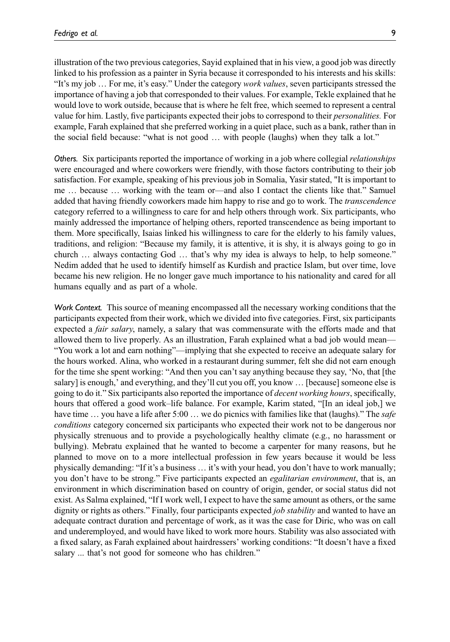illustration of the two previous categories, Sayid explained that in his view, a good job was directly linked to his profession as a painter in Syria because it corresponded to his interests and his skills: "It's my job ... For me, it's easy." Under the category *work values*, seven participants stressed the importance of having a job that corresponded to their values. For example, Tekle explained that he would love to work outside, because that is where he felt free, which seemed to represent a central value for him. Lastly, five participants expected their jobs to correspond to their *personalities*. For example, Farah explained that she preferred working in a quiet place, such as a bank, rather than in the social field because: "what is not good … with people (laughs) when they talk a lot."

Others. Six participants reported the importance of working in a job where collegial *relationships* were encouraged and where coworkers were friendly, with those factors contributing to their job satisfaction. For example, speaking of his previous job in Somalia, Yasir stated, "It is important to me … because … working with the team or—and also I contact the clients like that." Samuel added that having friendly coworkers made him happy to rise and go to work. The *transcendence* category referred to a willingness to care for and help others through work. Six participants, who mainly addressed the importance of helping others, reported transcendence as being important to them. More specifically, Isaias linked his willingness to care for the elderly to his family values, traditions, and religion: "Because my family, it is attentive, it is shy, it is always going to go in church … always contacting God … that's why my idea is always to help, to help someone." Nedim added that he used to identify himself as Kurdish and practice Islam, but over time, love became his new religion. He no longer gave much importance to his nationality and cared for all humans equally and as part of a whole.

Work Context. This source of meaning encompassed all the necessary working conditions that the participants expected from their work, which we divided into five categories. First, six participants expected a *fair salary*, namely, a salary that was commensurate with the efforts made and that allowed them to live properly. As an illustration, Farah explained what a bad job would mean— "You work a lot and earn nothing"—implying that she expected to receive an adequate salary for the hours worked. Alina, who worked in a restaurant during summer, felt she did not earn enough for the time she spent working: "And then you can't say anything because they say, 'No, that [the salary] is enough,' and everything, and they'll cut you off, you know ... [because] someone else is going to do it." Six participants also reported the importance of *decent working hours*, specifically, hours that offered a good work–life balance. For example, Karim stated, "[In an ideal job,] we have time  $\ldots$  you have a life after 5:00  $\ldots$  we do picnics with families like that (laughs)." The *safe* conditions category concerned six participants who expected their work not to be dangerous nor physically strenuous and to provide a psychologically healthy climate (e.g., no harassment or bullying). Mebratu explained that he wanted to become a carpenter for many reasons, but he planned to move on to a more intellectual profession in few years because it would be less physically demanding: "If it's a business … it's with your head, you don't have to work manually; you don't have to be strong." Five participants expected an egalitarian environment, that is, an environment in which discrimination based on country of origin, gender, or social status did not exist. As Salma explained, "If I work well, I expect to have the same amount as others, or the same dignity or rights as others." Finally, four participants expected *job stability* and wanted to have an adequate contract duration and percentage of work, as it was the case for Diric, who was on call and underemployed, and would have liked to work more hours. Stability was also associated with a fixed salary, as Farah explained about hairdressers' working conditions: "It doesn't have a fixed salary ... that's not good for someone who has children."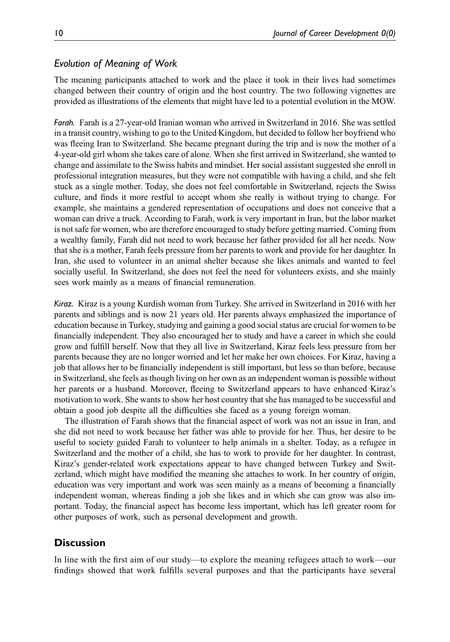# Evolution of Meaning of Work

The meaning participants attached to work and the place it took in their lives had sometimes changed between their country of origin and the host country. The two following vignettes are provided as illustrations of the elements that might have led to a potential evolution in the MOW.

Farah. Farah is a 27-year-old Iranian woman who arrived in Switzerland in 2016. She was settled in a transit country, wishing to go to the United Kingdom, but decided to follow her boyfriend who was fleeing Iran to Switzerland. She became pregnant during the trip and is now the mother of a 4-year-old girl whom she takes care of alone. When she first arrived in Switzerland, she wanted to change and assimilate to the Swiss habits and mindset. Her social assistant suggested she enroll in professional integration measures, but they were not compatible with having a child, and she felt stuck as a single mother. Today, she does not feel comfortable in Switzerland, rejects the Swiss culture, and finds it more restful to accept whom she really is without trying to change. For example, she maintains a gendered representation of occupations and does not conceive that a woman can drive a truck. According to Farah, work is very important in Iran, but the labor market is not safe for women, who are therefore encouraged to study before getting married. Coming from a wealthy family, Farah did not need to work because her father provided for all her needs. Now that she is a mother, Farah feels pressure from her parents to work and provide for her daughter. In Iran, she used to volunteer in an animal shelter because she likes animals and wanted to feel socially useful. In Switzerland, she does not feel the need for volunteers exists, and she mainly sees work mainly as a means of financial remuneration.

Kiraz. Kiraz is a young Kurdish woman from Turkey. She arrived in Switzerland in 2016 with her parents and siblings and is now 21 years old. Her parents always emphasized the importance of education because in Turkey, studying and gaining a good social status are crucial for women to be financially independent. They also encouraged her to study and have a career in which she could grow and fulfill herself. Now that they all live in Switzerland, Kiraz feels less pressure from her parents because they are no longer worried and let her make her own choices. For Kiraz, having a job that allows her to be financially independent is still important, but less so than before, because in Switzerland, she feels as though living on her own as an independent woman is possible without her parents or a husband. Moreover, fleeing to Switzerland appears to have enhanced Kiraz's motivation to work. She wants to show her host country that she has managed to be successful and obtain a good job despite all the difficulties she faced as a young foreign woman.

The illustration of Farah shows that the financial aspect of work was not an issue in Iran, and she did not need to work because her father was able to provide for her. Thus, her desire to be useful to society guided Farah to volunteer to help animals in a shelter. Today, as a refugee in Switzerland and the mother of a child, she has to work to provide for her daughter. In contrast, Kiraz's gender-related work expectations appear to have changed between Turkey and Switzerland, which might have modified the meaning she attaches to work. In her country of origin, education was very important and work was seen mainly as a means of becoming a financially independent woman, whereas finding a job she likes and in which she can grow was also important. Today, the financial aspect has become less important, which has left greater room for other purposes of work, such as personal development and growth.

# **Discussion**

In line with the first aim of our study—to explore the meaning refugees attach to work—our findings showed that work fulfills several purposes and that the participants have several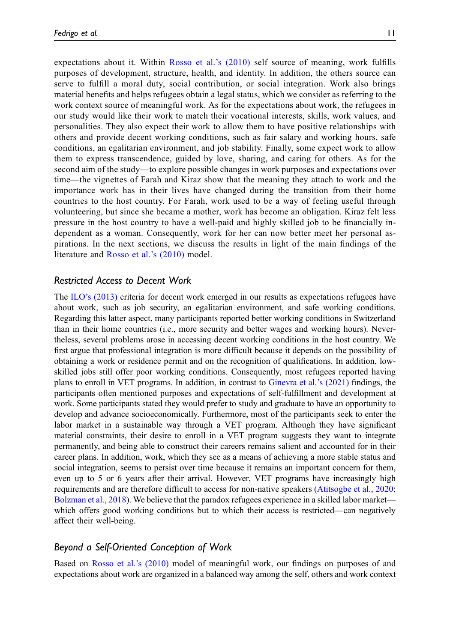expectations about it. Within [Rosso et al.](#page-15-6)'s (2010) self source of meaning, work fulfills purposes of development, structure, health, and identity. In addition, the others source can serve to fulfill a moral duty, social contribution, or social integration. Work also brings material benefits and helps refugees obtain a legal status, which we consider as referring to the work context source of meaningful work. As for the expectations about work, the refugees in our study would like their work to match their vocational interests, skills, work values, and personalities. They also expect their work to allow them to have positive relationships with others and provide decent working conditions, such as fair salary and working hours, safe conditions, an egalitarian environment, and job stability. Finally, some expect work to allow them to express transcendence, guided by love, sharing, and caring for others. As for the second aim of the study—to explore possible changes in work purposes and expectations over time—the vignettes of Farah and Kiraz show that the meaning they attach to work and the importance work has in their lives have changed during the transition from their home countries to the host country. For Farah, work used to be a way of feeling useful through volunteering, but since she became a mother, work has become an obligation. Kiraz felt less pressure in the host country to have a well-paid and highly skilled job to be financially independent as a woman. Consequently, work for her can now better meet her personal aspirations. In the next sections, we discuss the results in light of the main findings of the literature and [Rosso et al.](#page-15-6)'s (2010) model.

# Restricted Access to Decent Work

The ILO'[s \(2013\)](#page-14-4) criteria for decent work emerged in our results as expectations refugees have about work, such as job security, an egalitarian environment, and safe working conditions. Regarding this latter aspect, many participants reported better working conditions in Switzerland than in their home countries (i.e., more security and better wages and working hours). Nevertheless, several problems arose in accessing decent working conditions in the host country. We first argue that professional integration is more difficult because it depends on the possibility of obtaining a work or residence permit and on the recognition of qualifications. In addition, lowskilled jobs still offer poor working conditions. Consequently, most refugees reported having plans to enroll in VET programs. In addition, in contrast to [Ginevra et al.](#page-14-10)'s (2021) findings, the participants often mentioned purposes and expectations of self-fulfillment and development at work. Some participants stated they would prefer to study and graduate to have an opportunity to develop and advance socioeconomically. Furthermore, most of the participants seek to enter the labor market in a sustainable way through a VET program. Although they have significant material constraints, their desire to enroll in a VET program suggests they want to integrate permanently, and being able to construct their careers remains salient and accounted for in their career plans. In addition, work, which they see as a means of achieving a more stable status and social integration, seems to persist over time because it remains an important concern for them, even up to 5 or 6 years after their arrival. However, VET programs have increasingly high requirements and are therefore difficult to access for non-native speakers [\(Atitsogbe et al., 2020;](#page-13-6) [Bolzman et al., 2018\)](#page-13-7). We believe that the paradox refugees experience in a skilled labor market which offers good working conditions but to which their access is restricted—can negatively affect their well-being.

### Beyond a Self-Oriented Conception of Work

Based on [Rosso et al.](#page-15-6)'s (2010) model of meaningful work, our findings on purposes of and expectations about work are organized in a balanced way among the self, others and work context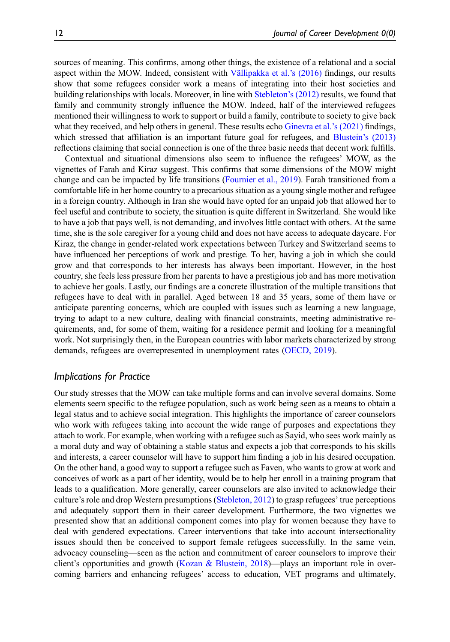sources of meaning. This confirms, among other things, the existence of a relational and a social aspect within the MOW. Indeed, consistent with [V](#page-15-9)ä[llipakka et al.](#page-15-9)'s  $(2016)$  findings, our results show that some refugees consider work a means of integrating into their host societies and building relationships with locals. Moreover, in line with [Stebleton](#page-15-8)'s (2012) results, we found that family and community strongly influence the MOW. Indeed, half of the interviewed refugees mentioned their willingness to work to support or build a family, contribute to society to give back what they received, and help others in general. These results echo [Ginevra et al.](#page-14-10)'s (2021) findings, which stressed that affiliation is an important future goal for refugees, and Blustein'[s \(2013\)](#page-13-3) reflections claiming that social connection is one of the three basic needs that decent work fulfills.

Contextual and situational dimensions also seem to influence the refugees' MOW, as the vignettes of Farah and Kiraz suggest. This confirms that some dimensions of the MOW might change and can be impacted by life transitions [\(Fournier et al., 2019\)](#page-14-8). Farah transitioned from a comfortable life in her home country to a precarious situation as a young single mother and refugee in a foreign country. Although in Iran she would have opted for an unpaid job that allowed her to feel useful and contribute to society, the situation is quite different in Switzerland. She would like to have a job that pays well, is not demanding, and involves little contact with others. At the same time, she is the sole caregiver for a young child and does not have access to adequate daycare. For Kiraz, the change in gender-related work expectations between Turkey and Switzerland seems to have influenced her perceptions of work and prestige. To her, having a job in which she could grow and that corresponds to her interests has always been important. However, in the host country, she feels less pressure from her parents to have a prestigious job and has more motivation to achieve her goals. Lastly, our findings are a concrete illustration of the multiple transitions that refugees have to deal with in parallel. Aged between 18 and 35 years, some of them have or anticipate parenting concerns, which are coupled with issues such as learning a new language, trying to adapt to a new culture, dealing with financial constraints, meeting administrative requirements, and, for some of them, waiting for a residence permit and looking for a meaningful work. Not surprisingly then, in the European countries with labor markets characterized by strong demands, refugees are overrepresented in unemployment rates ([OECD, 2019\)](#page-15-3).

### Implications for Practice

Our study stresses that the MOW can take multiple forms and can involve several domains. Some elements seem specific to the refugee population, such as work being seen as a means to obtain a legal status and to achieve social integration. This highlights the importance of career counselors who work with refugees taking into account the wide range of purposes and expectations they attach to work. For example, when working with a refugee such as Sayid, who sees work mainly as a moral duty and way of obtaining a stable status and expects a job that corresponds to his skills and interests, a career counselor will have to support him finding a job in his desired occupation. On the other hand, a good way to support a refugee such as Faven, who wants to grow at work and conceives of work as a part of her identity, would be to help her enroll in a training program that leads to a qualification. More generally, career counselors are also invited to acknowledge their culture's role and drop Western presumptions [\(Stebleton, 2012](#page-15-8)) to grasp refugees' true perceptions and adequately support them in their career development. Furthermore, the two vignettes we presented show that an additional component comes into play for women because they have to deal with gendered expectations. Career interventions that take into account intersectionality issues should then be conceived to support female refugees successfully. In the same vein, advocacy counseling—seen as the action and commitment of career counselors to improve their client's opportunities and growth ([Kozan & Blustein, 2018](#page-14-15))—plays an important role in overcoming barriers and enhancing refugees' access to education, VET programs and ultimately,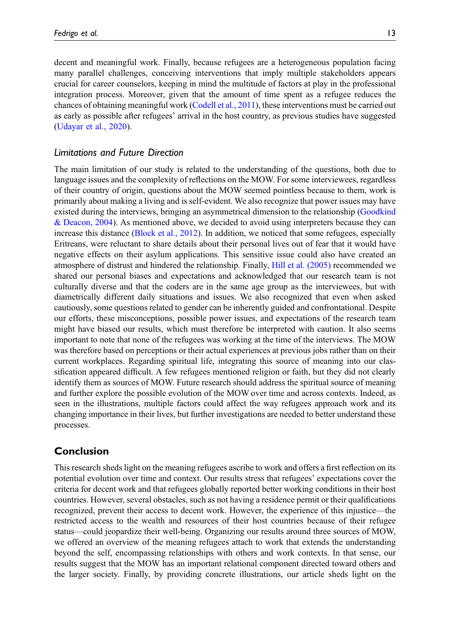decent and meaningful work. Finally, because refugees are a heterogeneous population facing many parallel challenges, conceiving interventions that imply multiple stakeholders appears crucial for career counselors, keeping in mind the multitude of factors at play in the professional integration process. Moreover, given that the amount of time spent as a refugee reduces the chances of obtaining meaningful work [\(Codell et al., 2011](#page-14-7)), these interventions must be carried out as early as possible after refugees' arrival in the host country, as previous studies have suggested ([Udayar et al., 2020](#page-15-4)).

# Limitations and Future Direction

The main limitation of our study is related to the understanding of the questions, both due to language issues and the complexity of reflections on the MOW. For some interviewees, regardless of their country of origin, questions about the MOW seemed pointless because to them, work is primarily about making a living and is self-evident. We also recognize that power issues may have existed during the interviews, bringing an asymmetrical dimension to the relationship [\(Goodkind](#page-14-16) [& Deacon, 2004](#page-14-16)). As mentioned above, we decided to avoid using interpreters because they can increase this distance ([Block et al., 2012](#page-13-8)). In addition, we noticed that some refugees, especially Eritreans, were reluctant to share details about their personal lives out of fear that it would have negative effects on their asylum applications. This sensitive issue could also have created an atmosphere of distrust and hindered the relationship. Finally, [Hill et al. \(2005\)](#page-14-13) recommended we shared our personal biases and expectations and acknowledged that our research team is not culturally diverse and that the coders are in the same age group as the interviewees, but with diametrically different daily situations and issues. We also recognized that even when asked cautiously, some questions related to gender can be inherently guided and confrontational. Despite our efforts, these misconceptions, possible power issues, and expectations of the research team might have biased our results, which must therefore be interpreted with caution. It also seems important to note that none of the refugees was working at the time of the interviews. The MOW was therefore based on perceptions or their actual experiences at previous jobs rather than on their current workplaces. Regarding spiritual life, integrating this source of meaning into our classification appeared difficult. A few refugees mentioned religion or faith, but they did not clearly identify them as sources of MOW. Future research should address the spiritual source of meaning and further explore the possible evolution of the MOW over time and across contexts. Indeed, as seen in the illustrations, multiple factors could affect the way refugees approach work and its changing importance in their lives, but further investigations are needed to better understand these processes.

# Conclusion

This research sheds light on the meaning refugees ascribe to work and offers a first reflection on its potential evolution over time and context. Our results stress that refugees' expectations cover the criteria for decent work and that refugees globally reported better working conditions in their host countries. However, several obstacles, such as not having a residence permit or their qualifications recognized, prevent their access to decent work. However, the experience of this injustice—the restricted access to the wealth and resources of their host countries because of their refugee status—could jeopardize their well-being. Organizing our results around three sources of MOW, we offered an overview of the meaning refugees attach to work that extends the understanding beyond the self, encompassing relationships with others and work contexts. In that sense, our results suggest that the MOW has an important relational component directed toward others and the larger society. Finally, by providing concrete illustrations, our article sheds light on the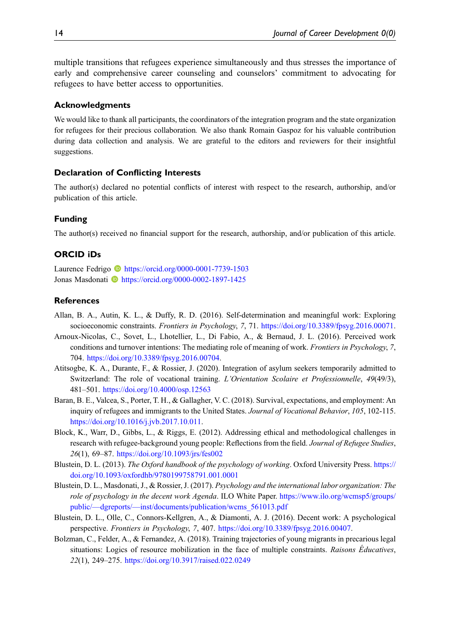multiple transitions that refugees experience simultaneously and thus stresses the importance of early and comprehensive career counseling and counselors' commitment to advocating for refugees to have better access to opportunities.

#### Acknowledgments

We would like to thank all participants, the coordinators of the integration program and the state organization for refugees for their precious collaboration. We also thank Romain Gaspoz for his valuable contribution during data collection and analysis. We are grateful to the editors and reviewers for their insightful suggestions.

#### Declaration of Conflicting Interests

The author(s) declared no potential conflicts of interest with respect to the research, authorship, and/or publication of this article.

#### Funding

The author(s) received no financial support for the research, authorship, and/or publication of this article.

#### ORCID iDs

Laurence Fedrigo **b** <https://orcid.org/0000-0001-7739-1503> Jonas Masdonati **I** <https://orcid.org/0000-0002-1897-1425>

### **References**

- <span id="page-13-4"></span>Allan, B. A., Autin, K. L., & Duffy, R. D. (2016). Self-determination and meaningful work: Exploring socioeconomic constraints. Frontiers in Psychology, 7, 71. <https://doi.org/10.3389/fpsyg.2016.00071>.
- <span id="page-13-5"></span>Arnoux-Nicolas, C., Sovet, L., Lhotellier, L., Di Fabio, A., & Bernaud, J. L. (2016). Perceived work conditions and turnover intentions: The mediating role of meaning of work. *Frontiers in Psychology*, 7, 704. [https://doi.org/10.3389/fpsyg.2016.00704.](https://doi.org/10.3389/fpsyg.2016.00704)
- <span id="page-13-6"></span>Atitsogbe, K. A., Durante, F., & Rossier, J. (2020). Integration of asylum seekers temporarily admitted to Switzerland: The role of vocational training. L'Orientation Scolaire et Professionnelle, 49(49/3), 481–501. <https://doi.org/10.4000/osp.12563>
- <span id="page-13-0"></span>Baran, B. E., Valcea, S., Porter, T. H., & Gallagher, V. C. (2018). Survival, expectations, and employment: An inquiry of refugees and immigrants to the United States. Journal of Vocational Behavior, 105, 102-115. <https://doi.org/10.1016/j.jvb.2017.10.011>.
- <span id="page-13-8"></span>Block, K., Warr, D., Gibbs, L., & Riggs, E. (2012). Addressing ethical and methodological challenges in research with refugee-background young people: Reflections from the field. Journal of Refugee Studies, 26(1), 69–87. <https://doi.org/10.1093/jrs/fes002>
- <span id="page-13-3"></span>Blustein, D. L. (2013). The Oxford handbook of the psychology of working. Oxford University Press. [https://](https://doi.org/10.1093/oxfordhb/9780199758791.001.0001) [doi.org/10.1093/oxfordhb/9780199758791.001.0001](https://doi.org/10.1093/oxfordhb/9780199758791.001.0001)
- <span id="page-13-1"></span>Blustein, D. L., Masdonati, J., & Rossier, J. (2017). Psychology and the international labor organization: The role of psychology in the decent work Agenda. ILO White Paper. [https://www.ilo.org/wcmsp5/groups/](https://www.ilo.org/wcmsp5/groups/public/---dgreports/---inst/documents/publication/wcms_561013.pdf) public/—dgreports/—[inst/documents/publication/wcms\\_561013.pdf](https://www.ilo.org/wcmsp5/groups/public/---dgreports/---inst/documents/publication/wcms_561013.pdf)
- <span id="page-13-2"></span>Blustein, D. L., Olle, C., Connors-Kellgren, A., & Diamonti, A. J. (2016). Decent work: A psychological perspective. Frontiers in Psychology, 7, 407. [https://doi.org/10.3389/fpsyg.2016.00407.](https://doi.org/10.3389/fpsyg.2016.00407)
- <span id="page-13-7"></span>Bolzman, C., Felder, A., & Fernandez, A. (2018). Training trajectories of young migrants in precarious legal situations: Logics of resource mobilization in the face of multiple constraints. Raisons Educatives, 22(1), 249–275. <https://doi.org/10.3917/raised.022.0249>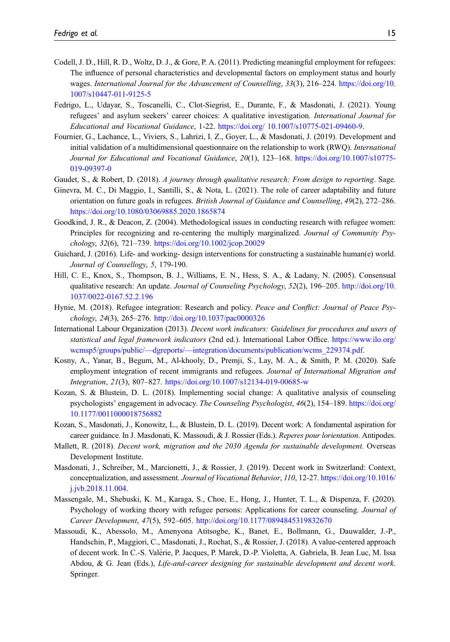- <span id="page-14-7"></span>Codell, J. D., Hill, R. D., Woltz, D. J., & Gore, P. A. (2011). Predicting meaningful employment for refugees: The influence of personal characteristics and developmental factors on employment status and hourly wages. International Journal for the Advancement of Counselling, 33(3), 216–224. [https://doi.org/10.](https://doi.org/10.1007/s10447-011-9125-5) [1007/s10447-011-9125-5](https://doi.org/10.1007/s10447-011-9125-5)
- <span id="page-14-9"></span>Fedrigo, L., Udayar, S., Toscanelli, C., Clot-Siegrist, E., Durante, F., & Masdonati, J. (2021). Young refugees' and asylum seekers' career choices: A qualitative investigation. International Journal for Educational and Vocational Guidance, 1-22. [https://doi.org/ 10.1007/s10775-021-09460-9.](https://doi.org/%2010.1007/s10775-021-09460-9)
- <span id="page-14-8"></span>Fournier, G., Lachance, L., Viviers, S., Lahrizi, I. Z., Goyer, L., & Masdonati, J. (2019). Development and initial validation of a multidimensional questionnaire on the relationship to work (RWQ). *International* Journal for Educational and Vocational Guidance, 20(1), 123–168. [https://doi.org/10.1007/s10775-](https://doi.org/10.1007/s10775-019-09397-0) [019-09397-0](https://doi.org/10.1007/s10775-019-09397-0)
- <span id="page-14-14"></span>Gaudet, S., & Robert, D. (2018). A journey through qualitative research: From design to reporting. Sage.
- <span id="page-14-10"></span>Ginevra, M. C., Di Maggio, I., Santilli, S., & Nota, L. (2021). The role of career adaptability and future orientation on future goals in refugees. British Journal of Guidance and Counselling, 49(2), 272–286. <https://doi.org/10.1080/03069885.2020.1865874>
- <span id="page-14-16"></span>Goodkind, J. R., & Deacon, Z. (2004). Methodological issues in conducting research with refugee women: Principles for recognizing and re-centering the multiply marginalized. Journal of Community Psychology, 32(6), 721–739. <https://doi.org/10.1002/jcop.20029>
- <span id="page-14-2"></span>Guichard, J. (2016). Life- and working- design interventions for constructing a sustainable human(e) world. Journal of Counsellogy, 5, 179-190.
- <span id="page-14-13"></span>Hill, C. E., Knox, S., Thompson, B. J., Williams, E. N., Hess, S. A., & Ladany, N. (2005). Consensual qualitative research: An update. Journal of Counseling Psychology, 52(2), 196–205. [http://doi.org/10.](http://doi.org/10.1037/0022-0167.52.2.196) [1037/0022-0167.52.2.196](http://doi.org/10.1037/0022-0167.52.2.196)
- <span id="page-14-1"></span>Hynie, M. (2018). Refugee integration: Research and policy. Peace and Conflict: Journal of Peace Psychology, 24(3), 265–276. <http://doi.org/10.1037/pac0000326>
- <span id="page-14-4"></span>International Labour Organization (2013). Decent work indicators: Guidelines for procedures and users of statistical and legal framework indicators (2nd ed.). International Labor Office. [https://www.ilo.org/](https://www.ilo.org/wcmsp5/groups/public/---dgreports/---integration/documents/publication/wcms_229374.pdf) wcmsp5/groups/public/—dgreports/—[integration/documents/publication/wcms\\_229374.pdf](https://www.ilo.org/wcmsp5/groups/public/---dgreports/---integration/documents/publication/wcms_229374.pdf).
- <span id="page-14-11"></span>Kosny, A., Yanar, B., Begum, M., Al-khooly, D., Premji, S., Lay, M. A., & Smith, P. M. (2020). Safe employment integration of recent immigrants and refugees. Journal of International Migration and Integration, 21(3), 807–827. <https://doi.org/10.1007/s12134-019-00685-w>
- <span id="page-14-15"></span>Kozan, S. & Blustein, D. L. (2018). Implementing social change: A qualitative analysis of counseling psychologists' engagement in advocacy. The Counseling Psychologist, 46(2), 154–189. [https://doi.org/](https://doi.org/10.1177/0011000018756882) [10.1177/0011000018756882](https://doi.org/10.1177/0011000018756882)
- <span id="page-14-5"></span>Kozan, S., Masdonati, J., Konowitz, L., & Blustein, D. L. (2019). Decent work: A fondamental aspiration for career guidance. In J. Masdonati, K. Massoudi, & J. Rossier (Eds.). Reperes pour lorientation. Antipodes.
- <span id="page-14-0"></span>Mallett, R. (2018). Decent work, migration and the 2030 Agenda for sustainable development. Overseas Development Institute.
- <span id="page-14-12"></span>Masdonati, J., Schreiber, M., Marcionetti, J., & Rossier, J. (2019). Decent work in Switzerland: Context, conceptualization, and assessment. Journal of Vocational Behavior, 110, 12-27. [https://doi.org/10.1016/](https://doi.org/10.1016/j.jvb.2018.11.004) [j.jvb.2018.11.004.](https://doi.org/10.1016/j.jvb.2018.11.004)
- <span id="page-14-3"></span>Massengale, M., Shebuski, K. M., Karaga, S., Choe, E., Hong, J., Hunter, T. L., & Dispenza, F. (2020). Psychology of working theory with refugee persons: Applications for career counseling. Journal of Career Development, 47(5), 592–605. <http://doi.org/10.1177/0894845319832670>
- <span id="page-14-6"></span>Massoudi, K., Abessolo, M., Amenyona Atitsogbe, K., Banet, E., Bollmann, G., Dauwalder, J.-P., Handschin, P., Maggiori, C., Masdonati, J., Rochat, S., & Rossier, J. (2018). A value-centered approach of decent work. In C.-S. Valerie, P. Jacques, P. Marek, D.-P. Violetta, A. Gabriela, B. Jean Luc, M. Issa ´ Abdou, & G. Jean (Eds.), Life-and-career designing for sustainable development and decent work. Springer.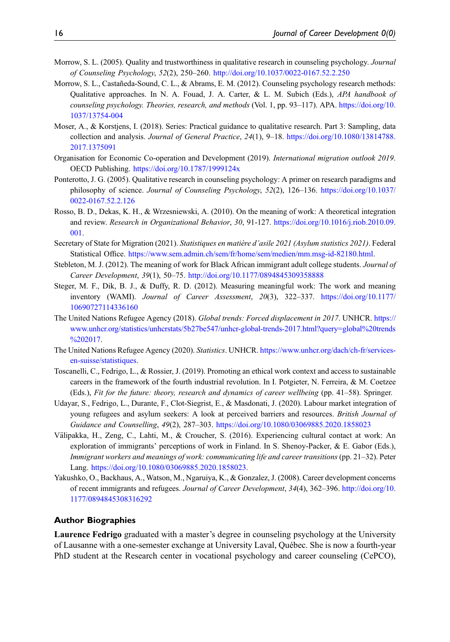- <span id="page-15-11"></span>Morrow, S. L. (2005). Quality and trustworthiness in qualitative research in counseling psychology. *Journal* of Counseling Psychology, 52(2), 250–260. <http://doi.org/10.1037/0022-0167.52.2.250>
- <span id="page-15-14"></span>Morrow, S. L., Castañeda-Sound, C. L., & Abrams, E. M. (2012). Counseling psychology research methods: Qualitative approaches. In N. A. Fouad, J. A. Carter, & L. M. Subich (Eds.), APA handbook of counseling psychology. Theories, research, and methods (Vol. 1, pp. 93–117). APA. [https://doi.org/10.](https://doi.org/10.1037/13754-004) [1037/13754-004](https://doi.org/10.1037/13754-004)
- <span id="page-15-13"></span>Moser, A., & Korstjens, I. (2018). Series: Practical guidance to qualitative research. Part 3: Sampling, data collection and analysis. Journal of General Practice, 24(1), 9–18. [https://doi.org/10.1080/13814788.](https://doi.org/10.1080/13814788.2017.1375091) [2017.1375091](https://doi.org/10.1080/13814788.2017.1375091)
- <span id="page-15-3"></span>Organisation for Economic Co-operation and Development (2019). International migration outlook 2019. OECD Publishing. <https://doi.org/10.1787/1999124x>
- <span id="page-15-12"></span>Ponterotto, J. G. (2005). Qualitative research in counseling psychology: A primer on research paradigms and philosophy of science. Journal of Counseling Psychology, 52(2), 126–136. [https://doi.org/10.1037/](https://doi.org/10.1037/0022-0167.52.2.126) [0022-0167.52.2.126](https://doi.org/10.1037/0022-0167.52.2.126)
- <span id="page-15-6"></span>Rosso, B. D., Dekas, K. H., & Wrzesniewski, A. (2010). On the meaning of work: A theoretical integration and review. Research in Organizational Behavior, 30, 91-127. [https://doi.org/10.1016/j.riob.2010.09.](https://doi.org/10.1016/j.riob.2010.09.001) [001](https://doi.org/10.1016/j.riob.2010.09.001).
- <span id="page-15-10"></span>Secretary of State for Migration (2021). Statistiques en matière d'asile 2021 (Asylum statistics 2021). Federal Statistical Office. <https://www.sem.admin.ch/sem/fr/home/sem/medien/mm.msg-id-82180.html>.
- <span id="page-15-8"></span>Stebleton, M. J. (2012). The meaning of work for Black African immigrant adult college students. *Journal of* Career Development, 39(1), 50–75. <http://doi.org/10.1177/0894845309358888>
- <span id="page-15-7"></span>Steger, M. F., Dik, B. J., & Duffy, R. D. (2012). Measuring meaningful work: The work and meaning inventory (WAMI). Journal of Career Assessment, 20(3), 322–337. [https://doi.org/10.1177/](https://doi.org/10.1177/10690727114336160) [10690727114336160](https://doi.org/10.1177/10690727114336160)
- <span id="page-15-1"></span>The United Nations Refugee Agency (2018). Global trends: Forced displacement in 2017. UNHCR. [https://](https://www.unhcr.org/statistics/unhcrstats/5b27be547/unhcr-global-trends-2017.html?query=global%20trends%202017) [www.unhcr.org/statistics/unhcrstats/5b27be547/unhcr-global-trends-2017.html?query=global%20trends](https://www.unhcr.org/statistics/unhcrstats/5b27be547/unhcr-global-trends-2017.html?query=global%20trends%202017) [%202017.](https://www.unhcr.org/statistics/unhcrstats/5b27be547/unhcr-global-trends-2017.html?query=global%20trends%202017)
- <span id="page-15-0"></span>The United Nations Refugee Agency (2020). Statistics. UNHCR. [https://www.unhcr.org/dach/ch-fr/services](https://www.unhcr.org/dach/ch-fr/services-en-suisse/statistiques)[en-suisse/statistiques.](https://www.unhcr.org/dach/ch-fr/services-en-suisse/statistiques)
- <span id="page-15-2"></span>Toscanelli, C., Fedrigo, L., & Rossier, J. (2019). Promoting an ethical work context and access to sustainable careers in the framework of the fourth industrial revolution. In I. Potgieter, N. Ferreira, & M. Coetzee (Eds.), Fit for the future: theory, research and dynamics of career wellbeing (pp. 41–58). Springer.
- <span id="page-15-4"></span>Udayar, S., Fedrigo, L., Durante, F., Clot-Siegrist, E., & Masdonati, J. (2020). Labour market integration of young refugees and asylum seekers: A look at perceived barriers and resources. British Journal of Guidance and Counselling, 49(2), 287–303. <https://doi.org/10.1080/03069885.2020.1858023>
- <span id="page-15-9"></span>Valipakka, H., Zeng, C., Lahti, M., & Croucher, S. (2016). Experiencing cultural contact at work: An ¨ exploration of immigrants' perceptions of work in Finland. In S. Shenoy-Packer, & E. Gabor (Eds.), Immigrant workers and meanings of work: communicating life and career transitions (pp. 21–32). Peter Lang. [https://doi.org/10.1080/03069885.2020.1858023.](https://doi.org/10.1080/03069885.2020.1858023)
- <span id="page-15-5"></span>Yakushko, O., Backhaus, A., Watson, M., Ngaruiya, K., & Gonzalez, J. (2008). Career development concerns of recent immigrants and refugees. Journal of Career Development, 34(4), 362–396. [http://doi.org/10.](http://doi.org/10.1177/0894845308316292) [1177/0894845308316292](http://doi.org/10.1177/0894845308316292)

### Author Biographies

**Laurence Fedrigo** graduated with a master's degree in counseling psychology at the University of Lausanne with a one-semester exchange at University Laval, Quebec. She is now a fourth-year ´ PhD student at the Research center in vocational psychology and career counseling (CePCO),